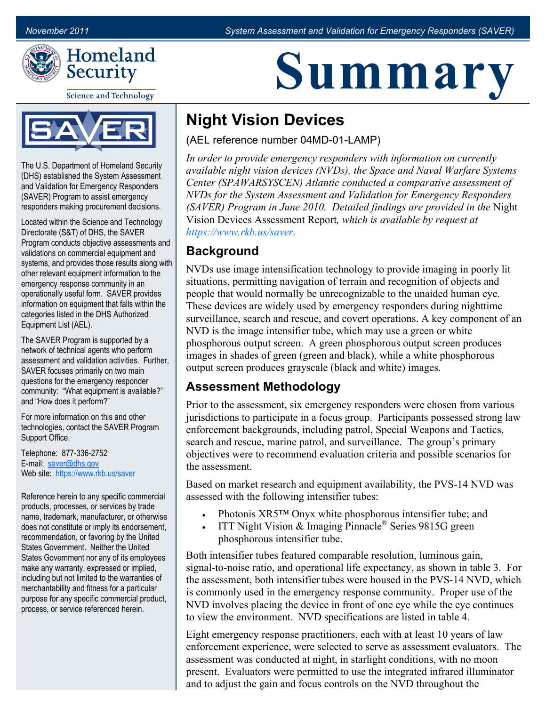

**Science and Technology** 



The U.S. Department of Homeland Security (DHS) established the System Assessment and Validation for Emergency Responders (SAVER) Program to assist emergency responders making procurement decisions.

Located within the Science and Technology Directorate (S&T) of DHS, the SAVER Program conducts objective assessments and validations on commercial equipment and systems, and provides those results along with other relevant equipment information to the emergency response community in an operationally useful form. SAVER provides information on equipment that falls within the categories listed in the DHS Authorized Equipment List (AEL).

The SAVER Program is supported by a network of technical agents who perform assessment and validation activities. Further, SAVER focuses primarily on two main questions for the emergency responder community: "What equipment is available?" and "How does it perform?"

For more information on this and other technologies, contact the SAVER Program Support Office.

Telephone: 877-336-2752 E-mail: [saver@dhs.gov](mailto:SAVER@dhs.gov) Web site: <https://www.rkb.us/saver>

Reference herein to any specific commercial products, processes, or services by trade name, trademark, manufacturer, or otherwise does not constitute or imply its endorsement, recommendation, or favoring by the United States Government. Neither the United States Government nor any of its employees make any warranty, expressed or implied, including but not limited to the warranties of merchantability and fitness for a particular purpose for any specific commercial product, process, or service referenced herein.

# **Summary**

## **Night Vision Devices**

(AEL reference number 04MD-01-LAMP)

*In order to provide emergency responders with information on currently available night vision devices (NVDs), the Space and Naval Warfare Systems Center (SPAWARSYSCEN) Atlantic conducted a comparative assessment of NVDs for the System Assessment and Validation for Emergency Responders (SAVER) Program in June 2010. Detailed findings are provided in the* Night Vision Devices Assessment Report*, which is available by request at [https://www.rkb.us/saver.](https://www.rkb.us/saver)*

#### **Background**

NVDs use image intensification technology to provide imaging in poorly lit situations, permitting navigation of terrain and recognition of objects and people that would normally be unrecognizable to the unaided human eye. These devices are widely used by emergency responders during nighttime surveillance, search and rescue, and covert operations. A key component of an NVD is the image intensifier tube, which may use a green or white phosphorous output screen. A green phosphorous output screen produces images in shades of green (green and black), while a white phosphorous output screen produces grayscale (black and white) images.

#### **Assessment Methodology**

Prior to the assessment, six emergency responders were chosen from various jurisdictions to participate in a focus group. Participants possessed strong law enforcement backgrounds, including patrol, Special Weapons and Tactics, search and rescue, marine patrol, and surveillance. The group's primary objectives were to recommend evaluation criteria and possible scenarios for the assessment.

Based on market research and equipment availability, the PVS-14 NVD was assessed with the following intensifier tubes:

- Photonis XR5™ Onyx white phosphorous intensifier tube; and
- ITT Night Vision & Imaging Pinnacle<sup>®</sup> Series 9815G green phosphorous intensifier tube.

Both intensifier tubes featured comparable resolution, luminous gain, signal-to-noise ratio, and operational life expectancy, as shown in table 3. For the assessment, both intensifiertubes were housed in the PVS-14 NVD, which is commonly used in the emergency response community. Proper use of the NVD involves placing the device in front of one eye while the eye continues to view the environment. NVD specifications are listed in table 4.

Eight emergency response practitioners, each with at least 10 years of law enforcement experience, were selected to serve as assessment evaluators. The assessment was conducted at night, in starlight conditions, with no moon present. Evaluators were permitted to use the integrated infrared illuminator and to adjust the gain and focus controls on the NVD throughout the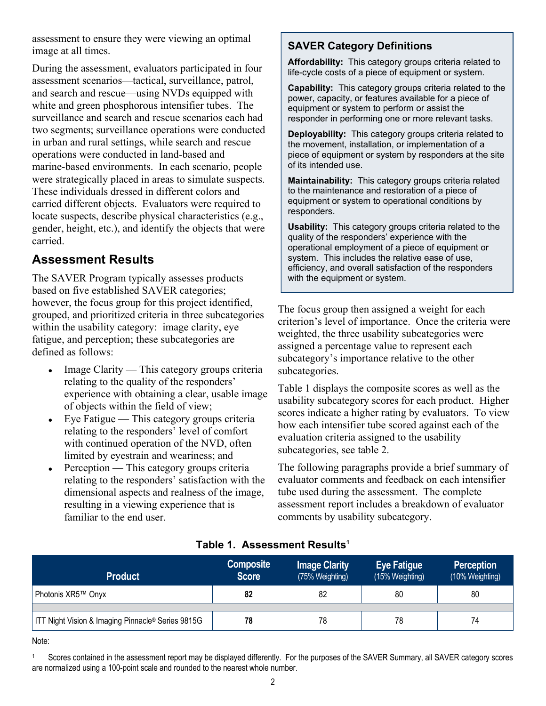assessment to ensure they were viewing an optimal image at all times.

During the assessment, evaluators participated in four assessment scenarios—tactical, surveillance, patrol, and search and rescue—using NVDs equipped with white and green phosphorous intensifier tubes. The surveillance and search and rescue scenarios each had two segments; surveillance operations were conducted in urban and rural settings, while search and rescue operations were conducted in land-based and marine-based environments. In each scenario, people were strategically placed in areas to simulate suspects. These individuals dressed in different colors and carried different objects. Evaluators were required to locate suspects, describe physical characteristics (e.g., gender, height, etc.), and identify the objects that were carried.

#### **Assessment Results**

The SAVER Program typically assesses products based on five established SAVER categories; however, the focus group for this project identified, grouped, and prioritized criteria in three subcategories within the usability category: image clarity, eye fatigue, and perception; these subcategories are defined as follows:

- Image Clarity This category groups criteria relating to the quality of the responders' experience with obtaining a clear, usable image of objects within the field of view;
- $\bullet$  Eye Fatigue This category groups criteria relating to the responders' level of comfort with continued operation of the NVD, often limited by eyestrain and weariness; and
- Perception This category groups criteria relating to the responders' satisfaction with the dimensional aspects and realness of the image, resulting in a viewing experience that is familiar to the end user.

#### **SAVER Category Definitions**

**Affordability:** This category groups criteria related to life-cycle costs of a piece of equipment or system.

**Capability:** This category groups criteria related to the power, capacity, or features available for a piece of equipment or system to perform or assist the responder in performing one or more relevant tasks.

**Deployability:** This category groups criteria related to the movement, installation, or implementation of a piece of equipment or system by responders at the site of its intended use.

**Maintainability:** This category groups criteria related to the maintenance and restoration of a piece of equipment or system to operational conditions by responders.

**Usability:** This category groups criteria related to the quality of the responders' experience with the operational employment of a piece of equipment or system. This includes the relative ease of use, efficiency, and overall satisfaction of the responders with the equipment or system.

The focus group then assigned a weight for each criterion's level of importance. Once the criteria were weighted, the three usability subcategories were assigned a percentage value to represent each subcategory's importance relative to the other subcategories.

Table 1 displays the composite scores as well as the usability subcategory scores for each product. Higher scores indicate a higher rating by evaluators. To view how each intensifier tube scored against each of the evaluation criteria assigned to the usability subcategories, see table 2.

The following paragraphs provide a brief summary of evaluator comments and feedback on each intensifier tube used during the assessment. The complete assessment report includes a breakdown of evaluator comments by usability subcategory.

| <b>Product</b>                                    | <b>Composite</b><br><b>Score</b> | <b>Image Clarity</b><br>(75% Weighting) | <b>Eye Fatigue</b><br>(15% Weighting) | <b>Perception</b><br>(10% Weighting) |
|---------------------------------------------------|----------------------------------|-----------------------------------------|---------------------------------------|--------------------------------------|
| Photonis XR5™ Onyx                                | 82                               | 82                                      | 80                                    | 80                                   |
| ITT Night Vision & Imaging Pinnacle® Series 9815G | 78                               | 78                                      | 78                                    | 74                                   |

#### **Table 1. Assessment Results<sup>1</sup>**

Note:

Scores contained in the assessment report may be displayed differently. For the purposes of the SAVER Summary, all SAVER category scores are normalized using a 100-point scale and rounded to the nearest whole number.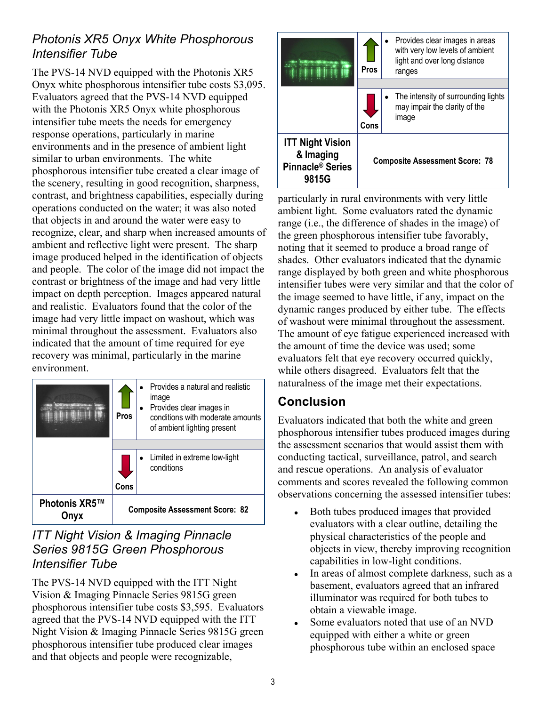#### *Photonis XR5 Onyx White Phosphorous Intensifier Tube*

The PVS-14 NVD equipped with the Photonis XR5 Onyx white phosphorous intensifier tube costs \$3,095. Evaluators agreed that the PVS-14 NVD equipped with the Photonis XR5 Onyx white phosphorous intensifier tube meets the needs for emergency response operations, particularly in marine environments and in the presence of ambient light similar to urban environments. The white phosphorous intensifier tube created a clear image of the scenery, resulting in good recognition, sharpness, contrast, and brightness capabilities, especially during operations conducted on the water; it was also noted that objects in and around the water were easy to recognize, clear, and sharp when increased amounts of ambient and reflective light were present. The sharp image produced helped in the identification of objects and people. The color of the image did not impact the contrast or brightness of the image and had very little impact on depth perception. Images appeared natural and realistic. Evaluators found that the color of the image had very little impact on washout, which was minimal throughout the assessment. Evaluators also indicated that the amount of time required for eye recovery was minimal, particularly in the marine environment.

|               | <b>Pros</b>                           |  | Provides a natural and realistic<br>image<br>Provides clear images in<br>conditions with moderate amounts<br>of ambient lighting present |
|---------------|---------------------------------------|--|------------------------------------------------------------------------------------------------------------------------------------------|
|               |                                       |  |                                                                                                                                          |
|               |                                       |  | Limited in extreme low-light<br>conditions                                                                                               |
|               | Cons                                  |  |                                                                                                                                          |
| Photonis XR5™ | <b>Composite Assessment Score: 82</b> |  |                                                                                                                                          |

#### *ITT Night Vision & Imaging Pinnacle Series 9815G Green Phosphorous Intensifier Tube*

The PVS-14 NVD equipped with the ITT Night Vision & Imaging Pinnacle Series 9815G green phosphorous intensifier tube costs \$3,595. Evaluators agreed that the PVS-14 NVD equipped with the ITT Night Vision & Imaging Pinnacle Series 9815G green phosphorous intensifier tube produced clear images and that objects and people were recognizable,

|                                                                               | Pros                                  | Provides clear images in areas<br>with very low levels of ambient<br>light and over long distance<br>ranges |  |  |
|-------------------------------------------------------------------------------|---------------------------------------|-------------------------------------------------------------------------------------------------------------|--|--|
|                                                                               |                                       |                                                                                                             |  |  |
|                                                                               | Cons                                  | The intensity of surrounding lights<br>may impair the clarity of the<br>image                               |  |  |
| <b>ITT Night Vision</b><br>& Imaging<br>Pinnacle <sup>®</sup> Series<br>9815G | <b>Composite Assessment Score: 78</b> |                                                                                                             |  |  |

particularly in rural environments with very little ambient light. Some evaluators rated the dynamic range (i.e., the difference of shades in the image) of the green phosphorous intensifier tube favorably, noting that it seemed to produce a broad range of shades. Other evaluators indicated that the dynamic range displayed by both green and white phosphorous intensifier tubes were very similar and that the color of the image seemed to have little, if any, impact on the dynamic ranges produced by either tube. The effects of washout were minimal throughout the assessment. The amount of eye fatigue experienced increased with the amount of time the device was used; some evaluators felt that eye recovery occurred quickly, while others disagreed. Evaluators felt that the naturalness of the image met their expectations.

### **Conclusion**

Evaluators indicated that both the white and green phosphorous intensifier tubes produced images during the assessment scenarios that would assist them with conducting tactical, surveillance, patrol, and search and rescue operations. An analysis of evaluator comments and scores revealed the following common observations concerning the assessed intensifier tubes:

- Both tubes produced images that provided evaluators with a clear outline, detailing the physical characteristics of the people and objects in view, thereby improving recognition capabilities in low-light conditions.
- In areas of almost complete darkness, such as a basement, evaluators agreed that an infrared illuminator was required for both tubes to obtain a viewable image.
- Some evaluators noted that use of an NVD equipped with either a white or green phosphorous tube within an enclosed space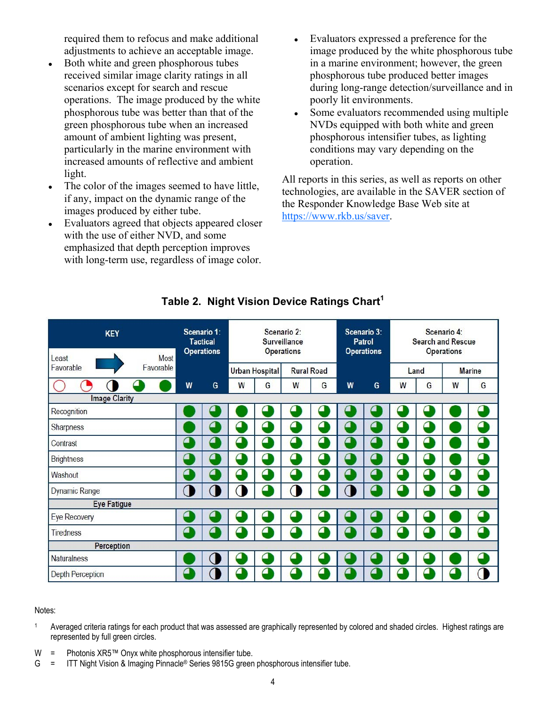required them to refocus and make additional adjustments to achieve an acceptable image.

- Both white and green phosphorous tubes received similar image clarity ratings in all scenarios except for search and rescue operations. The image produced by the white phosphorous tube was better than that of the green phosphorous tube when an increased amount of ambient lighting was present, particularly in the marine environment with increased amounts of reflective and ambient light.
- The color of the images seemed to have little, if any, impact on the dynamic range of the images produced by either tube.
- Evaluators agreed that objects appeared closer with the use of either NVD, and some emphasized that depth perception improves with long-term use, regardless of image color.
- Evaluators expressed a preference for the image produced by the white phosphorous tube in a marine environment; however, the green phosphorous tube produced better images during long-range detection/surveillance and in poorly lit environments.
- Some evaluators recommended using multiple NVDs equipped with both white and green phosphorous intensifier tubes, as lighting conditions may vary depending on the operation.

All reports in this series, as well as reports on other technologies, are available in the SAVER section of the Responder Knowledge Base Web site at [https://www.rkb.us/saver.](https://www.rkb.us/saver) 

| <b>KEY</b><br>Most              |   | Scenario 1:<br><b>Tactical</b><br><b>Operations</b> |                | Scenario 2:<br>Surveillance | <b>Operations</b> |                |                | Scenario 3:<br>Patrol<br><b>Operations</b> |              | <b>Search and Rescue</b> | Scenario 4:<br>Operations |               |
|---------------------------------|---|-----------------------------------------------------|----------------|-----------------------------|-------------------|----------------|----------------|--------------------------------------------|--------------|--------------------------|---------------------------|---------------|
| Least<br>Favorable<br>Favorable |   |                                                     |                | Urban Hospital              | <b>Rural Road</b> |                |                |                                            |              | Land                     |                           | <b>Marine</b> |
|                                 | W | G                                                   | W              | G                           | W                 | G              | W              | G                                          | W            | G                        | W                         | G             |
| <b>Image Clarity</b>            |   |                                                     |                |                             |                   |                |                |                                            |              |                          |                           |               |
| Recognition                     |   | Æ                                                   |                |                             |                   | $\blacksquare$ | $\blacksquare$ |                                            |              |                          |                           | $\epsilon$    |
| Sharpness                       |   | △                                                   | ◁              | $\blacksquare$              | △                 | $\sigma$       | △              | △                                          | △            | △                        |                           | △             |
| Contrast                        | ш | €                                                   | 9              | ₫                           | 4                 | ₫              | $\blacksquare$ | Æ                                          | ٠            | ۹                        |                           | ◁             |
| <b>Brightness</b>               | ◁ | △                                                   | ◁              | △                           | а                 | △              | ⊿              | △                                          | ◘            | ◁                        |                           | △             |
| Washout                         | ■ | $\blacksquare$                                      | $\blacksquare$ | 9                           | $\epsilon$        | △              | ◁              | ⊆                                          | $\mathbf{C}$ | 61                       | Ø                         | ◁             |
| Dynamic Range                   | ſ | O                                                   | 1              | $\blacksquare$              | 1                 | O              |                | △                                          | ⊆            | △                        | △                         | Δ             |
| <b>Eye Fatigue</b>              |   |                                                     |                |                             |                   |                |                |                                            |              |                          |                           |               |
| <b>Eye Recovery</b>             |   |                                                     |                |                             |                   | 9              |                |                                            |              |                          |                           |               |
| Tiredness                       | Œ | $\blacksquare$                                      | ◘              | $\blacksquare$              | $\epsilon$        | ◘              | $\blacksquare$ | ◢                                          | ◆            | ఆ                        | △                         | △             |
| Perception                      |   |                                                     |                |                             |                   |                |                |                                            |              |                          |                           |               |
| <b>Naturalness</b>              |   | $\overline{ }$                                      |                |                             |                   |                |                |                                            |              |                          |                           |               |
| <b>Depth Perception</b>         | 9 | C                                                   |                |                             |                   |                |                |                                            |              |                          |                           | J             |

#### **Table 2. Night Vision Device Ratings Chart<sup>1</sup>**

#### Notes:

- <sup>1</sup> Averaged criteria ratings for each product that was assessed are graphically represented by colored and shaded circles. Highest ratings are represented by full green circles.
- W = Photonis XR5™ Onyx white phosphorous intensifier tube.
- G = ITT Night Vision & Imaging Pinnacle® Series 9815G green phosphorous intensifier tube.